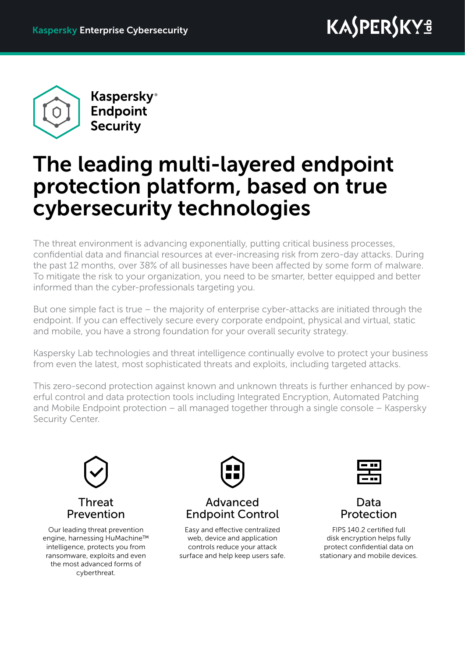

**Kaspersky**® Endpoint **Security** 

# The leading multi-layered endpoint protection platform, based on true cybersecurity technologies

The threat environment is advancing exponentially, putting critical business processes, confidential data and financial resources at ever-increasing risk from zero-day attacks. During the past 12 months, over 38% of all businesses have been affected by some form of malware. To mitigate the risk to your organization, you need to be smarter, better equipped and better informed than the cyber-professionals targeting you.

But one simple fact is true – the majority of enterprise cyber-attacks are initiated through the endpoint. If you can effectively secure every corporate endpoint, physical and virtual, static and mobile, you have a strong foundation for your overall security strategy.

Kaspersky Lab technologies and threat intelligence continually evolve to protect your business from even the latest, most sophisticated threats and exploits, including targeted attacks.

This zero-second protection against known and unknown threats is further enhanced by powerful control and data protection tools including Integrated Encryption, Automated Patching and Mobile Endpoint protection – all managed together through a single console – Kaspersky Security Center.



Our leading threat prevention engine, harnessing HuMachine™ intelligence, protects you from ransomware, exploits and even the most advanced forms of cyberthreat.



Advanced Endpoint Control

Easy and effective centralized web, device and application controls reduce your attack surface and help keep users safe.





FIPS 140.2 certified full disk encryption helps fully protect confidential data on stationary and mobile devices.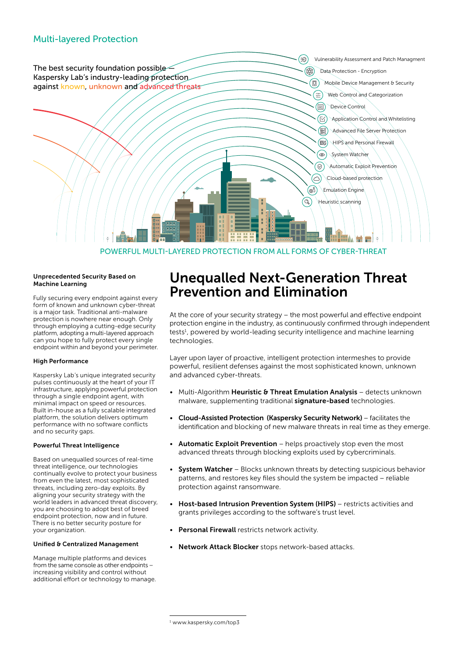

POWERFUL MULTI-LAYERED PROTECTION FROM ALL FORMS OF CYBER-THREAT

#### Unprecedented Security Based on Machine Learning

Fully securing every endpoint against every form of known and unknown cyber-threat is a major task. Traditional anti-malware protection is nowhere near enough. Only through employing a cutting-edge security platform, adopting a multi-layered approach can you hope to fully protect every single endpoint within and beyond your perimeter.

#### High Performance

Kaspersky Lab's unique integrated security pulses continuously at the heart of your IT infrastructure, applying powerful protection through a single endpoint agent, with minimal impact on speed or resources. Built in-house as a fully scalable integrated platform, the solution delivers optimum performance with no software conflicts and no security gaps.

#### Powerful Threat Intelligence

Based on unequalled sources of real-time threat intelligence, our technologies continually evolve to protect your business from even the latest, most sophisticated threats, including zero-day exploits. By aligning your security strategy with the world leaders in advanced threat discovery. you are choosing to adopt best of breed endpoint protection, now and in future. There is no better security posture for your organization.

#### Unified & Centralized Management

Manage multiple platforms and devices from the same console as other endpoints – increasing visibility and control without additional effort or technology to manage.

### Unequalled Next-Generation Threat Prevention and Elimination

At the core of your security strategy – the most powerful and effective endpoint protection engine in the industry, as continuously confirmed through independent tests<sup>1</sup>, powered by world-leading security intelligence and machine learning technologies.

Layer upon layer of proactive, intelligent protection intermeshes to provide powerful, resilient defenses against the most sophisticated known, unknown and advanced cyber-threats.

- Multi-Algorithm Heuristic & Threat Emulation Analysis detects unknown malware, supplementing traditional signature-based technologies.
- Cloud-Assisted Protection (Kaspersky Security Network) facilitates the identification and blocking of new malware threats in real time as they emerge.
- Automatic Exploit Prevention helps proactively stop even the most advanced threats through blocking exploits used by cybercriminals.
- System Watcher Blocks unknown threats by detecting suspicious behavior patterns, and restores key files should the system be impacted – reliable protection against ransomware.
- Host-based Intrusion Prevention System (HIPS) restricts activities and grants privileges according to the software's trust level.
- Personal Firewall restricts network activity.
- Network Attack Blocker stops network-based attacks.

<sup>1</sup> [www.kaspersky.com/top3](http://www.kaspersky.com/top3)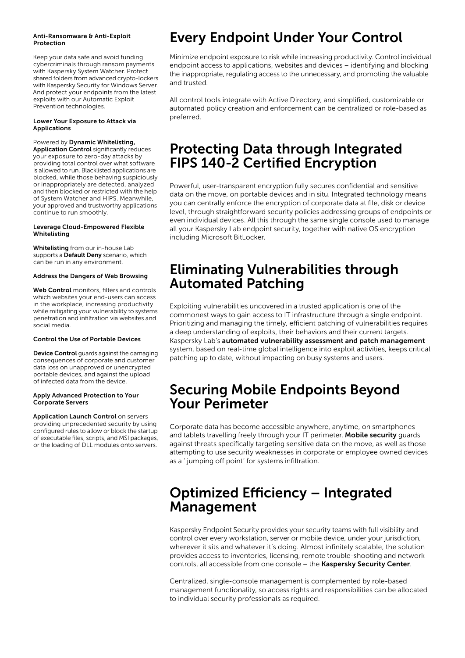#### Anti-Ransomware & Anti-Exploit Protection

Keep your data safe and avoid funding cybercriminals through ransom payments with Kaspersky System Watcher. Protect shared folders from advanced crypto-lockers with Kaspersky Security for Windows Server. And protect your endpoints from the latest exploits with our Automatic Exploit Prevention technologies.

#### Lower Your Exposure to Attack via Applications

Powered by Dynamic Whitelisting,

Application Control significantly reduces your exposure to zero-day attacks by providing total control over what software is allowed to run. Blacklisted applications are blocked, while those behaving suspiciously or inappropriately are detected, analyzed and then blocked or restricted with the help of System Watcher and HIPS. Meanwhile, your approved and trustworthy applications continue to run smoothly.

#### Leverage Cloud-Empowered Flexible Whitelisting

Whitelisting from our in-house Lab supports a Default Deny scenario, which can be run in any environment.

#### Address the Dangers of Web Browsing

Web Control monitors, filters and controls which websites your end-users can access in the workplace, increasing productivity while mitigating your vulnerability to systems penetration and infiltration via websites and social media.

#### Control the Use of Portable Devices

Device Control guards against the damaging consequences of corporate and customer data loss on unapproved or unencrypted portable devices, and against the upload of infected data from the device.

#### Apply Advanced Protection to Your Corporate Servers

Application Launch Control on servers providing unprecedented security by using configured rules to allow or block the startup of executable files, scripts, and MSI packages, or the loading of DLL modules onto servers.

## Every Endpoint Under Your Control

Minimize endpoint exposure to risk while increasing productivity. Control individual endpoint access to applications, websites and devices – identifying and blocking the inappropriate, regulating access to the unnecessary, and promoting the valuable and trusted.

All control tools integrate with Active Directory, and simplified, customizable or automated policy creation and enforcement can be centralized or role-based as preferred.

### Protecting Data through Integrated FIPS 140-2 Certified Encryption

Powerful, user-transparent encryption fully secures confidential and sensitive data on the move, on portable devices and in situ. Integrated technology means you can centrally enforce the encryption of corporate data at file, disk or device level, through straightforward security policies addressing groups of endpoints or even individual devices. All this through the same single console used to manage all your Kaspersky Lab endpoint security, together with native OS encryption including Microsoft BitLocker.

### Eliminating Vulnerabilities through Automated Patching

Exploiting vulnerabilities uncovered in a trusted application is one of the commonest ways to gain access to IT infrastructure through a single endpoint. Prioritizing and managing the timely, efficient patching of vulnerabilities requires a deep understanding of exploits, their behaviors and their current targets. Kaspersky Lab's automated vulnerability assessment and patch management system, based on real-time global intelligence into exploit activities, keeps critical patching up to date, without impacting on busy systems and users.

### Securing Mobile Endpoints Beyond Your Perimeter

Corporate data has become accessible anywhere, anytime, on smartphones and tablets travelling freely through your IT perimeter. Mobile security quards against threats specifically targeting sensitive data on the move, as well as those attempting to use security weaknesses in corporate or employee owned devices as a ' jumping off point' for systems infiltration.

### Optimized Efficiency – Integrated Management

Kaspersky Endpoint Security provides your security teams with full visibility and control over every workstation, server or mobile device, under your jurisdiction, wherever it sits and whatever it's doing. Almost infinitely scalable, the solution provides access to inventories, licensing, remote trouble-shooting and network controls, all accessible from one console – the Kaspersky Security Center.

Centralized, single-console management is complemented by role-based management functionality, so access rights and responsibilities can be allocated to individual security professionals as required.